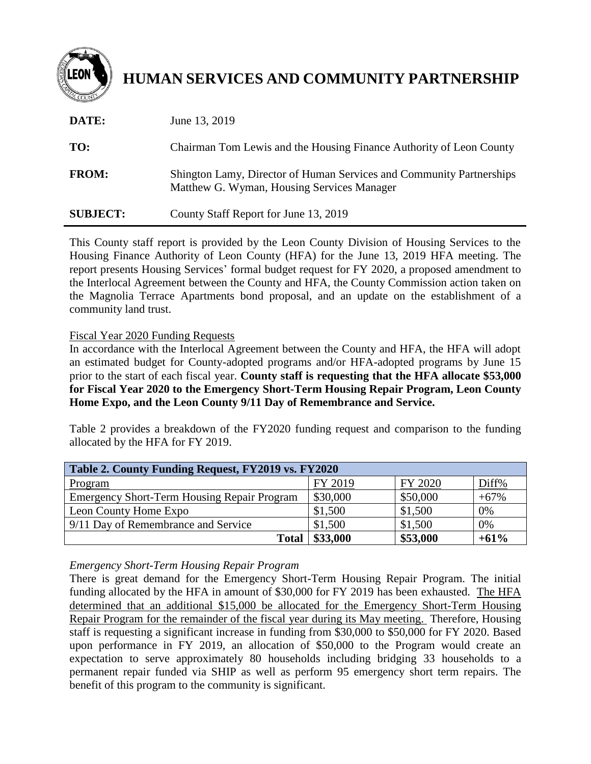

# **HUMAN SERVICES AND COMMUNITY PARTNERSHIP**

| DATE:           | June 13, 2019                                                                                                      |
|-----------------|--------------------------------------------------------------------------------------------------------------------|
| TO:             | Chairman Tom Lewis and the Housing Finance Authority of Leon County                                                |
| <b>FROM:</b>    | Shington Lamy, Director of Human Services and Community Partnerships<br>Matthew G. Wyman, Housing Services Manager |
| <b>SUBJECT:</b> | County Staff Report for June 13, 2019                                                                              |

This County staff report is provided by the Leon County Division of Housing Services to the Housing Finance Authority of Leon County (HFA) for the June 13, 2019 HFA meeting. The report presents Housing Services' formal budget request for FY 2020, a proposed amendment to the Interlocal Agreement between the County and HFA, the County Commission action taken on the Magnolia Terrace Apartments bond proposal, and an update on the establishment of a community land trust.

Fiscal Year 2020 Funding Requests

In accordance with the Interlocal Agreement between the County and HFA, the HFA will adopt an estimated budget for County-adopted programs and/or HFA-adopted programs by June 15 prior to the start of each fiscal year. **County staff is requesting that the HFA allocate \$53,000 for Fiscal Year 2020 to the Emergency Short-Term Housing Repair Program, Leon County Home Expo, and the Leon County 9/11 Day of Remembrance and Service.**

Table 2 provides a breakdown of the FY2020 funding request and comparison to the funding allocated by the HFA for FY 2019.

| Table 2. County Funding Request, FY2019 vs. FY2020 |          |          |        |  |
|----------------------------------------------------|----------|----------|--------|--|
| Program                                            | FY 2019  | FY 2020  | Diff%  |  |
| <b>Emergency Short-Term Housing Repair Program</b> | \$30,000 | \$50,000 | $+67%$ |  |
| Leon County Home Expo                              | \$1,500  | \$1,500  | 0%     |  |
| 9/11 Day of Remembrance and Service                | \$1,500  | \$1,500  | 0%     |  |
| <b>Total</b>                                       | \$33,000 | \$53,000 | $+61%$ |  |

*Emergency Short-Term Housing Repair Program*

There is great demand for the Emergency Short-Term Housing Repair Program. The initial funding allocated by the HFA in amount of \$30,000 for FY 2019 has been exhausted. The HFA determined that an additional \$15,000 be allocated for the Emergency Short-Term Housing Repair Program for the remainder of the fiscal year during its May meeting. Therefore, Housing staff is requesting a significant increase in funding from \$30,000 to \$50,000 for FY 2020. Based upon performance in FY 2019, an allocation of \$50,000 to the Program would create an expectation to serve approximately 80 households including bridging 33 households to a permanent repair funded via SHIP as well as perform 95 emergency short term repairs. The benefit of this program to the community is significant.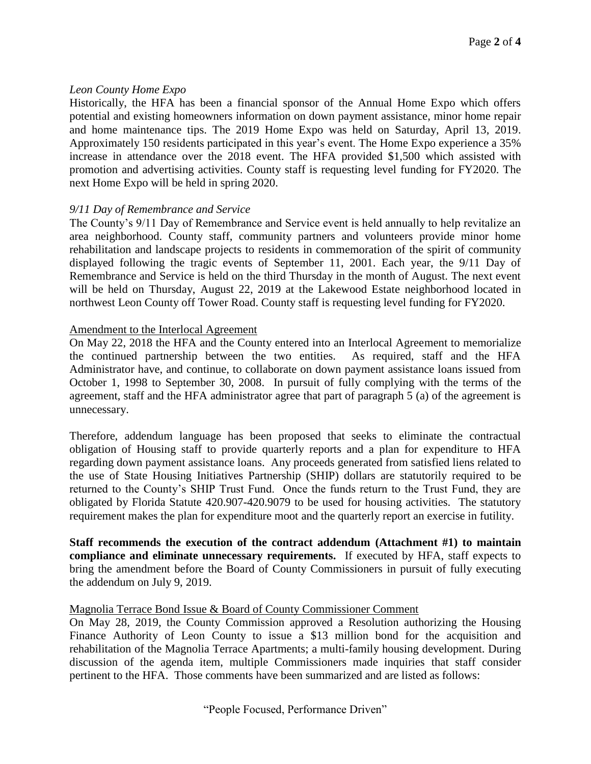#### *Leon County Home Expo*

Historically, the HFA has been a financial sponsor of the Annual Home Expo which offers potential and existing homeowners information on down payment assistance, minor home repair and home maintenance tips. The 2019 Home Expo was held on Saturday, April 13, 2019. Approximately 150 residents participated in this year's event. The Home Expo experience a 35% increase in attendance over the 2018 event. The HFA provided \$1,500 which assisted with promotion and advertising activities. County staff is requesting level funding for FY2020. The next Home Expo will be held in spring 2020.

#### *9/11 Day of Remembrance and Service*

The County's 9/11 Day of Remembrance and Service event is held annually to help revitalize an area neighborhood. County staff, community partners and volunteers provide minor home rehabilitation and landscape projects to residents in commemoration of the spirit of community displayed following the tragic events of September 11, 2001. Each year, the 9/11 Day of Remembrance and Service is held on the third Thursday in the month of August. The next event will be held on Thursday, August 22, 2019 at the Lakewood Estate neighborhood located in northwest Leon County off Tower Road. County staff is requesting level funding for FY2020.

#### Amendment to the Interlocal Agreement

On May 22, 2018 the HFA and the County entered into an Interlocal Agreement to memorialize the continued partnership between the two entities. As required, staff and the HFA Administrator have, and continue, to collaborate on down payment assistance loans issued from October 1, 1998 to September 30, 2008. In pursuit of fully complying with the terms of the agreement, staff and the HFA administrator agree that part of paragraph 5 (a) of the agreement is unnecessary.

Therefore, addendum language has been proposed that seeks to eliminate the contractual obligation of Housing staff to provide quarterly reports and a plan for expenditure to HFA regarding down payment assistance loans. Any proceeds generated from satisfied liens related to the use of State Housing Initiatives Partnership (SHIP) dollars are statutorily required to be returned to the County's SHIP Trust Fund. Once the funds return to the Trust Fund, they are obligated by Florida Statute 420.907-420.9079 to be used for housing activities. The statutory requirement makes the plan for expenditure moot and the quarterly report an exercise in futility.

**Staff recommends the execution of the contract addendum (Attachment #1) to maintain compliance and eliminate unnecessary requirements.** If executed by HFA, staff expects to bring the amendment before the Board of County Commissioners in pursuit of fully executing the addendum on July 9, 2019.

#### Magnolia Terrace Bond Issue & Board of County Commissioner Comment

On May 28, 2019, the County Commission approved a Resolution authorizing the Housing Finance Authority of Leon County to issue a \$13 million bond for the acquisition and rehabilitation of the Magnolia Terrace Apartments; a multi-family housing development. During discussion of the agenda item, multiple Commissioners made inquiries that staff consider pertinent to the HFA. Those comments have been summarized and are listed as follows: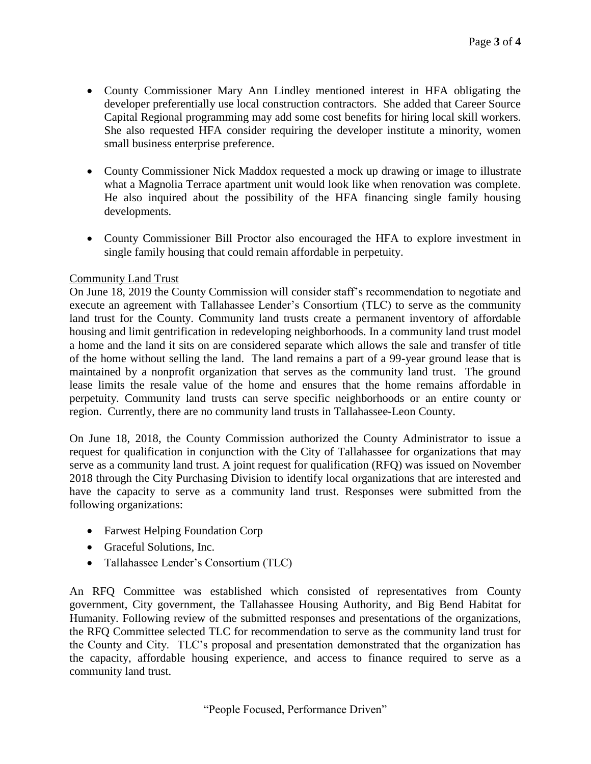- County Commissioner Mary Ann Lindley mentioned interest in HFA obligating the developer preferentially use local construction contractors. She added that Career Source Capital Regional programming may add some cost benefits for hiring local skill workers. She also requested HFA consider requiring the developer institute a minority, women small business enterprise preference.
- County Commissioner Nick Maddox requested a mock up drawing or image to illustrate what a Magnolia Terrace apartment unit would look like when renovation was complete. He also inquired about the possibility of the HFA financing single family housing developments.
- County Commissioner Bill Proctor also encouraged the HFA to explore investment in single family housing that could remain affordable in perpetuity.

### Community Land Trust

On June 18, 2019 the County Commission will consider staff's recommendation to negotiate and execute an agreement with Tallahassee Lender's Consortium (TLC) to serve as the community land trust for the County. Community land trusts create a permanent inventory of affordable housing and limit gentrification in redeveloping neighborhoods. In a community land trust model a home and the land it sits on are considered separate which allows the sale and transfer of title of the home without selling the land. The land remains a part of a 99-year ground lease that is maintained by a nonprofit organization that serves as the community land trust. The ground lease limits the resale value of the home and ensures that the home remains affordable in perpetuity. Community land trusts can serve specific neighborhoods or an entire county or region. Currently, there are no community land trusts in Tallahassee-Leon County.

On June 18, 2018, the County Commission authorized the County Administrator to issue a request for qualification in conjunction with the City of Tallahassee for organizations that may serve as a community land trust. A joint request for qualification (RFQ) was issued on November 2018 through the City Purchasing Division to identify local organizations that are interested and have the capacity to serve as a community land trust. Responses were submitted from the following organizations:

- Farwest Helping Foundation Corp
- Graceful Solutions, Inc.
- Tallahassee Lender's Consortium (TLC)

An RFQ Committee was established which consisted of representatives from County government, City government, the Tallahassee Housing Authority, and Big Bend Habitat for Humanity. Following review of the submitted responses and presentations of the organizations, the RFQ Committee selected TLC for recommendation to serve as the community land trust for the County and City. TLC's proposal and presentation demonstrated that the organization has the capacity, affordable housing experience, and access to finance required to serve as a community land trust.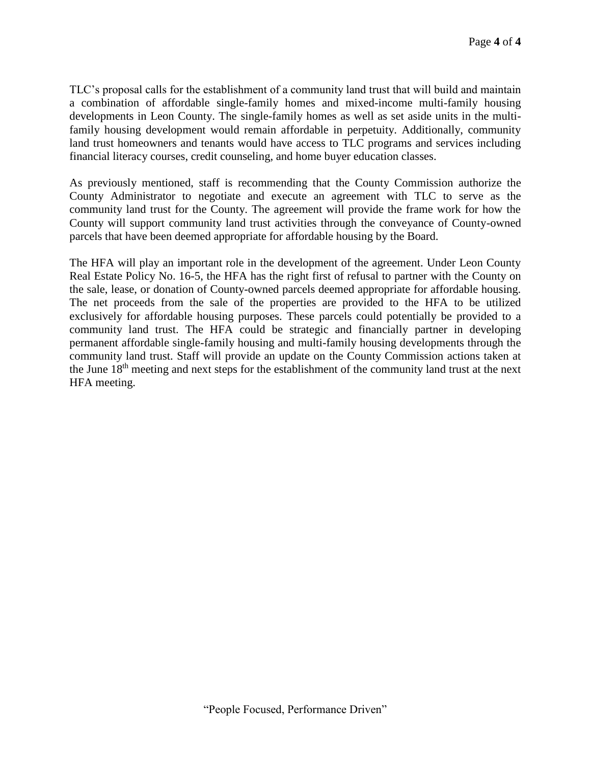TLC's proposal calls for the establishment of a community land trust that will build and maintain a combination of affordable single-family homes and mixed-income multi-family housing developments in Leon County. The single-family homes as well as set aside units in the multifamily housing development would remain affordable in perpetuity. Additionally, community land trust homeowners and tenants would have access to TLC programs and services including financial literacy courses, credit counseling, and home buyer education classes.

As previously mentioned, staff is recommending that the County Commission authorize the County Administrator to negotiate and execute an agreement with TLC to serve as the community land trust for the County. The agreement will provide the frame work for how the County will support community land trust activities through the conveyance of County-owned parcels that have been deemed appropriate for affordable housing by the Board.

The HFA will play an important role in the development of the agreement. Under Leon County Real Estate Policy No. 16-5, the HFA has the right first of refusal to partner with the County on the sale, lease, or donation of County-owned parcels deemed appropriate for affordable housing. The net proceeds from the sale of the properties are provided to the HFA to be utilized exclusively for affordable housing purposes. These parcels could potentially be provided to a community land trust. The HFA could be strategic and financially partner in developing permanent affordable single-family housing and multi-family housing developments through the community land trust. Staff will provide an update on the County Commission actions taken at the June 18th meeting and next steps for the establishment of the community land trust at the next HFA meeting.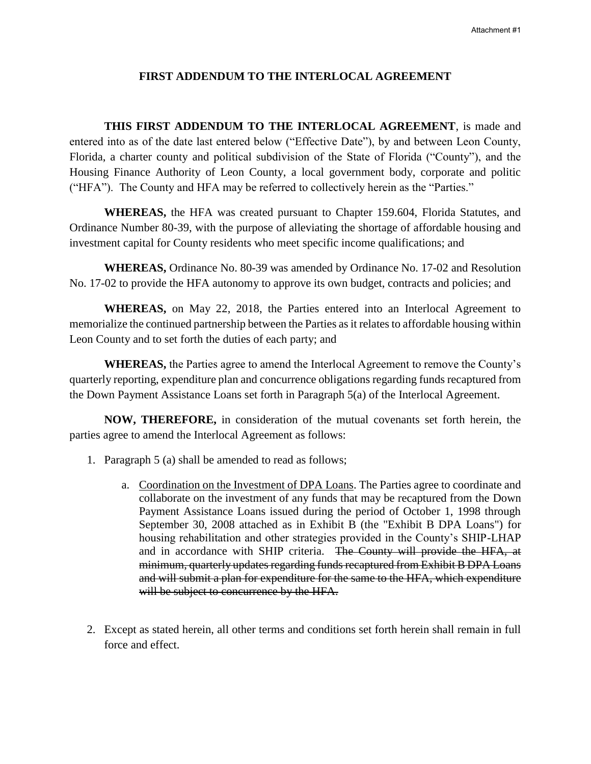#### **FIRST ADDENDUM TO THE INTERLOCAL AGREEMENT**

THIS FIRST ADDENDUM TO THE INTERLOCAL AGREEMENT, is made and entered into as of the date last entered below ("Effective Date"), by and between Leon County, Florida, a charter county and political subdivision of the State of Florida ("County"), and the Housing Finance Authority of Leon County, a local government body, corporate and politic ("HFA"). The County and HFA may be referred to collectively herein as the "Parties."

**WHEREAS,** the HFA was created pursuant to Chapter 159.604, Florida Statutes, and Ordinance Number 80-39, with the purpose of alleviating the shortage of affordable housing and investment capital for County residents who meet specific income qualifications; and

**WHEREAS,** Ordinance No. 80-39 was amended by Ordinance No. 17-02 and Resolution No. 17-02 to provide the HFA autonomy to approve its own budget, contracts and policies; and

**WHEREAS,** on May 22, 2018, the Parties entered into an Interlocal Agreement to memorialize the continued partnership between the Parties as it relates to affordable housing within Leon County and to set forth the duties of each party; and

**WHEREAS,** the Parties agree to amend the Interlocal Agreement to remove the County's quarterly reporting, expenditure plan and concurrence obligations regarding funds recaptured from the Down Payment Assistance Loans set forth in Paragraph 5(a) of the Interlocal Agreement.

**NOW, THEREFORE,** in consideration of the mutual covenants set forth herein, the parties agree to amend the Interlocal Agreement as follows:

- 1. Paragraph 5 (a) shall be amended to read as follows;
	- a. Coordination on the Investment of DPA Loans. The Parties agree to coordinate and collaborate on the investment of any funds that may be recaptured from the Down Payment Assistance Loans issued during the period of October 1, 1998 through September 30, 2008 attached as in Exhibit B (the "Exhibit B DPA Loans") for housing rehabilitation and other strategies provided in the County's SHIP-LHAP and in accordance with SHIP criteria. The County will provide the HFA, at minimum, quarterly updates regarding funds recaptured from Exhibit B DPA Loans and will submit a plan for expenditure for the same to the HFA, which expenditure will be subject to concurrence by the HFA.
- 2. Except as stated herein, all other terms and conditions set forth herein shall remain in full force and effect.